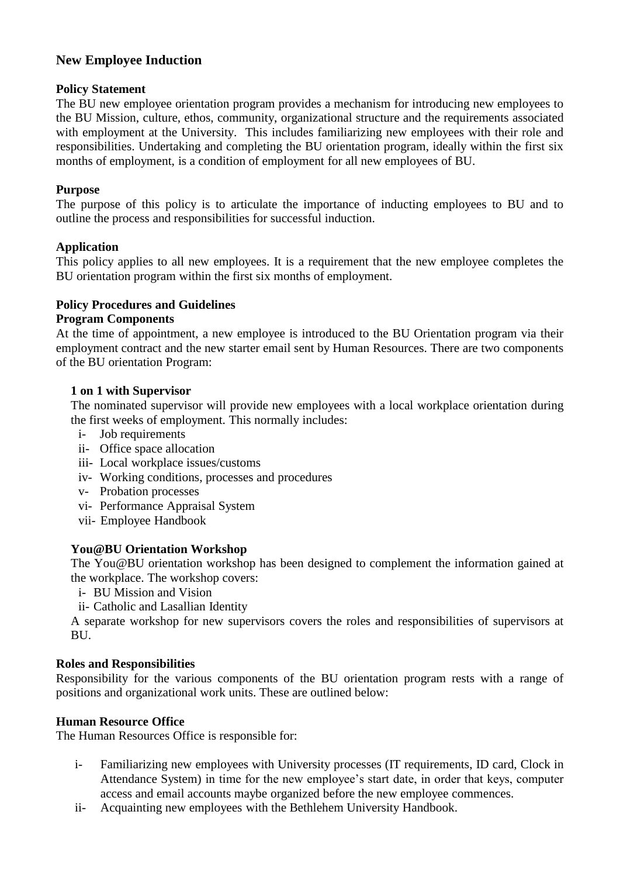# **New Employee Induction**

## **Policy Statement**

The BU new employee orientation program provides a mechanism for introducing new employees to the BU Mission, culture, ethos, community, organizational structure and the requirements associated with employment at the University. This includes familiarizing new employees with their role and responsibilities. Undertaking and completing the BU orientation program, ideally within the first six months of employment, is a condition of employment for all new employees of BU.

## **Purpose**

The purpose of this policy is to articulate the importance of inducting employees to BU and to outline the process and responsibilities for successful induction.

## **Application**

This policy applies to all new employees. It is a requirement that the new employee completes the BU orientation program within the first six months of employment.

## **Policy Procedures and Guidelines**

#### **Program Components**

At the time of appointment, a new employee is introduced to the BU Orientation program via their employment contract and the new starter email sent by Human Resources. There are two components of the BU orientation Program:

#### **1 on 1 with Supervisor**

The nominated supervisor will provide new employees with a local workplace orientation during the first weeks of employment. This normally includes:

- i- Job requirements
- ii- Office space allocation
- iii- Local workplace issues/customs
- iv- Working conditions, processes and procedures
- v- Probation processes
- vi- Performance Appraisal System
- vii- Employee Handbook

#### **You@BU Orientation Workshop**

The You@BU orientation workshop has been designed to complement the information gained at the workplace. The workshop covers:

i- BU Mission and Vision

ii- Catholic and Lasallian Identity

A separate workshop for new supervisors covers the roles and responsibilities of supervisors at BU.

#### **Roles and Responsibilities**

Responsibility for the various components of the BU orientation program rests with a range of positions and organizational work units. These are outlined below:

#### **Human Resource Office**

The Human Resources Office is responsible for:

- i- Familiarizing new employees with University processes (IT requirements, ID card, Clock in Attendance System) in time for the new employee's start date, in order that keys, computer access and email accounts maybe organized before the new employee commences.
- ii- Acquainting new employees with the Bethlehem University Handbook.